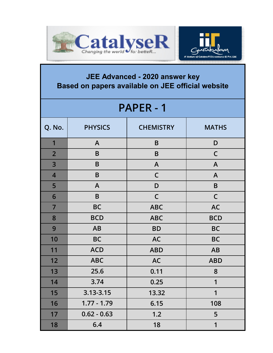



## **JEE Advanced - 2020 answer key Based on papers available on JEE official website**

| <b>PAPER - 1</b> |                |                  |              |  |
|------------------|----------------|------------------|--------------|--|
| Q. No.           | <b>PHYSICS</b> | <b>CHEMISTRY</b> | <b>MATHS</b> |  |
| 1                | $\mathsf{A}$   | B                | D            |  |
| $\overline{2}$   | B              | B                | $\mathsf C$  |  |
| 3                | B              | A                | $\mathsf{A}$ |  |
| $\overline{4}$   | B              | $\mathsf C$      | $\mathsf{A}$ |  |
| 5                | A              | D                | $\sf{B}$     |  |
| 6                | B              | $\mathsf C$      | $\mathsf C$  |  |
| $\overline{7}$   | <b>BC</b>      | <b>ABC</b>       | <b>AC</b>    |  |
| 8                | <b>BCD</b>     | <b>ABC</b>       | <b>BCD</b>   |  |
| 9                | <b>AB</b>      | <b>BD</b>        | <b>BC</b>    |  |
| 10               | <b>BC</b>      | <b>AC</b>        | <b>BC</b>    |  |
| 11               | <b>ACD</b>     | <b>ABD</b>       | <b>AB</b>    |  |
| 12               | <b>ABC</b>     | <b>AC</b>        | <b>ABD</b>   |  |
| 13               | 25.6           | 0.11             | 8            |  |
| 14               | 3.74           | 0.25             | 1            |  |
| 15               | 3.13-3.15      | 13.32            | 1            |  |
| 16               | $1.77 - 1.79$  | 6.15             | 108          |  |
| 17               | $0.62 - 0.63$  | 1.2              | 5            |  |
| 18               | 6.4            | 18               | 1            |  |